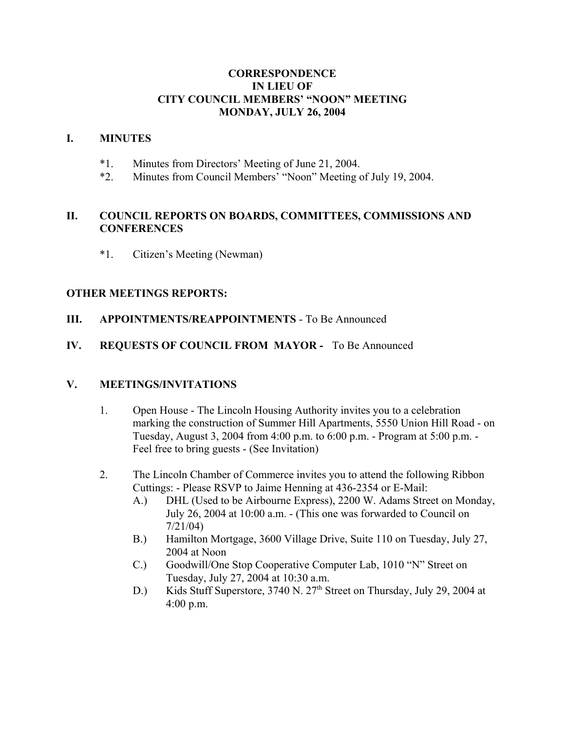#### **CORRESPONDENCE IN LIEU OF CITY COUNCIL MEMBERS' "NOON" MEETING MONDAY, JULY 26, 2004**

#### **I. MINUTES**

- \*1. Minutes from Directors' Meeting of June 21, 2004.
- \*2. Minutes from Council Members' "Noon" Meeting of July 19, 2004.

## **II. COUNCIL REPORTS ON BOARDS, COMMITTEES, COMMISSIONS AND CONFERENCES**

\*1. Citizen's Meeting (Newman)

#### **OTHER MEETINGS REPORTS:**

**III. APPOINTMENTS/REAPPOINTMENTS** - To Be Announced

## **IV. REQUESTS OF COUNCIL FROM MAYOR -** To Be Announced

#### **V. MEETINGS/INVITATIONS**

- 1. Open House The Lincoln Housing Authority invites you to a celebration marking the construction of Summer Hill Apartments, 5550 Union Hill Road - on Tuesday, August 3, 2004 from 4:00 p.m. to 6:00 p.m. - Program at 5:00 p.m. - Feel free to bring guests - (See Invitation)
- 2. The Lincoln Chamber of Commerce invites you to attend the following Ribbon Cuttings: - Please RSVP to Jaime Henning at 436-2354 or E-Mail:
	- A.) DHL (Used to be Airbourne Express), 2200 W. Adams Street on Monday, July 26, 2004 at 10:00 a.m. - (This one was forwarded to Council on 7/21/04)
	- B.) Hamilton Mortgage, 3600 Village Drive, Suite 110 on Tuesday, July 27, 2004 at Noon
	- C.) Goodwill/One Stop Cooperative Computer Lab, 1010 "N" Street on Tuesday, July 27, 2004 at 10:30 a.m.
	- D.) Kids Stuff Superstore, 3740 N. 27<sup>th</sup> Street on Thursday, July 29, 2004 at 4:00 p.m.